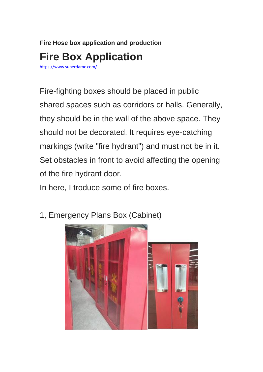## **Fire Hose box application and production Fire Box Application**

<https://www.superdamc.com/>

Fire-fighting boxes should be placed in public shared spaces such as corridors or halls. Generally, they should be in the wall of the above space. They should not be decorated. It requires eye-catching markings (write "fire hydrant") and must not be in it. Set obstacles in front to avoid affecting the opening of the fire hydrant door.

In here, I troduce some of fire boxes.

- 
- 1, Emergency Plans Box (Cabinet)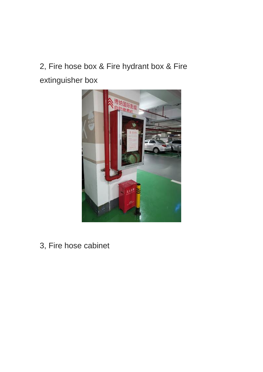## 2, Fire hose box & Fire hydrant box & Fire extinguisher box



3, Fire hose cabinet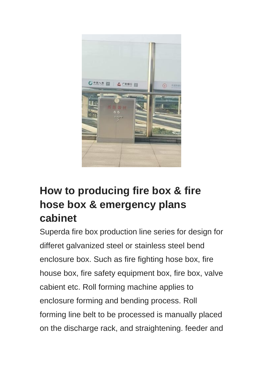

## **How to producing fire box & fire hose box & emergency plans cabinet**

Superda fire box production line series for design for differet galvanized steel or stainless steel bend enclosure box. Such as fire fighting hose box, fire house box, fire safety equipment box, fire box, valve cabient etc. Roll forming machine applies to enclosure forming and bending process. Roll forming line belt to be processed is manually placed on the discharge rack, and straightening. feeder and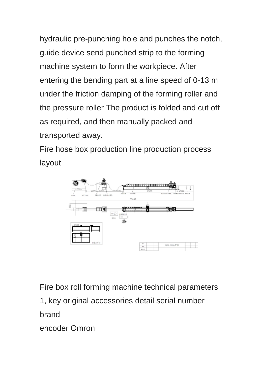hydraulic pre-punching hole and punches the notch, guide device send punched strip to the forming machine system to form the workpiece. After entering the bending part at a line speed of 0-13 m under the friction damping of the forming roller and the pressure roller The product is folded and cut off as required, and then manually packed and transported away.

Fire hose box production line production process layout



Fire box roll forming machine technical parameters

1, key original accessories detail serial number

brand

encoder Omron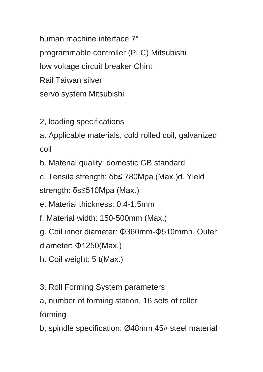human machine interface 7" programmable controller (PLC) Mitsubishi low voltage circuit breaker Chint Rail Taiwan silver servo system Mitsubishi

- 2, loading specifications
- a. Applicable materials, cold rolled coil, galvanized coil

b. Material quality: domestic GB standard

c. Tensile strength: δb≤ 780Mpa (Max.)d. Yield strength: δs≤510Mpa (Max.)

e. Material thickness: 0.4-1.5mm

f. Material width: 150-500mm (Max.)

g. Coil inner diameter: Φ360mm-Φ510mmh. Outer

diameter: Φ1250(Max.)

- h. Coil weight: 5 t(Max.)
- 3, Roll Forming System parameters
- a, number of forming station, 16 sets of roller forming
- b, spindle specification: Ø48mm 45# steel material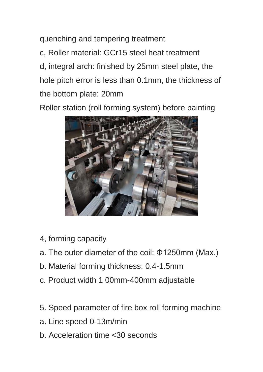quenching and tempering treatment c, Roller material: GCr15 steel heat treatment d, integral arch: finished by 25mm steel plate, the hole pitch error is less than 0.1mm, the thickness of the bottom plate: 20mm

Roller station (roll forming system) before painting



- 4, forming capacity
- a. The outer diameter of the coil: Φ1250mm (Max.)
- b. Material forming thickness: 0.4-1.5mm
- c. Product width 1 00mm-400mm adjustable
- 5. Speed parameter of fire box roll forming machine
- a. Line speed 0-13m/min
- b. Acceleration time <30 seconds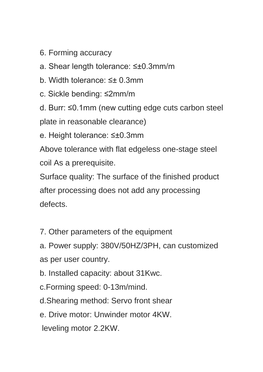- 6. Forming accuracy
- a. Shear length tolerance: ≤±0.3mm/m
- b. Width tolerance: ≤± 0.3mm
- c. Sickle bending: ≤2mm/m
- d. Burr: ≤0.1mm (new cutting edge cuts carbon steel

plate in reasonable clearance)

e. Height tolerance: ≤±0.3mm

Above tolerance with flat edgeless one-stage steel coil As a prerequisite.

Surface quality: The surface of the finished product after processing does not add any processing defects.

7. Other parameters of the equipment

a. Power supply: 380V/50HZ/3PH, can customized as per user country.

- b. Installed capacity: about 31Kwc.
- c.Forming speed: 0-13m/mind.
- d.Shearing method: Servo front shear
- e. Drive motor: Unwinder motor 4KW.
- leveling motor 2.2KW.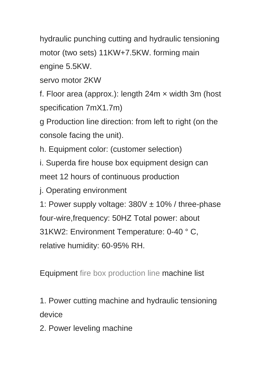hydraulic punching cutting and hydraulic tensioning motor (two sets) 11KW+7.5KW. forming main engine 5.5KW.

servo motor 2KW

f. Floor area (approx.): length 24m × width 3m (host specification 7mX1.7m)

g Production line direction: from left to right (on the console facing the unit).

h. Equipment color: (customer selection)

i. Superda fire house box equipment design can meet 12 hours of continuous production

j. Operating environment

1: Power supply voltage:  $380V \pm 10\%$  / three-phase four-wire,frequency: 50HZ Total power: about 31KW2: Environment Temperature: 0-40 ° C, relative humidity: 60-95% RH.

Equipment [fire box production line](https://www.youtube.com/watch?v=DJwtx1lna9Q&feature=youtu.be) machine list

1. Power cutting machine and hydraulic tensioning device

2. Power leveling machine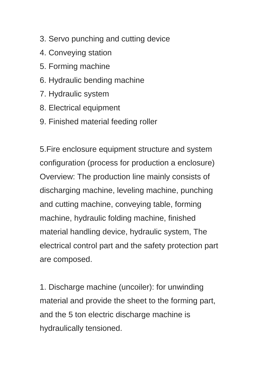- 3. Servo punching and cutting device
- 4. Conveying station
- 5. Forming machine
- 6. Hydraulic bending machine
- 7. Hydraulic system
- 8. Electrical equipment
- 9. Finished material feeding roller

5.Fire enclosure equipment structure and system configuration (process for production a enclosure) Overview: The production line mainly consists of discharging machine, leveling machine, punching and cutting machine, conveying table, forming machine, hydraulic folding machine, finished material handling device, hydraulic system, The electrical control part and the safety protection part are composed.

1. Discharge machine (uncoiler): for unwinding material and provide the sheet to the forming part, and the 5 ton electric discharge machine is hydraulically tensioned.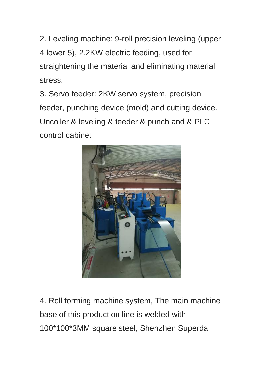2. Leveling machine: 9-roll precision leveling (upper 4 lower 5), 2.2KW electric feeding, used for straightening the material and eliminating material stress.

3. Servo feeder: 2KW servo system, precision feeder, punching device (mold) and cutting device. Uncoiler & leveling & feeder & punch and & PLC control cabinet



4. Roll forming machine system, The main machine base of this production line is welded with 100\*100\*3MM square steel, Shenzhen Superda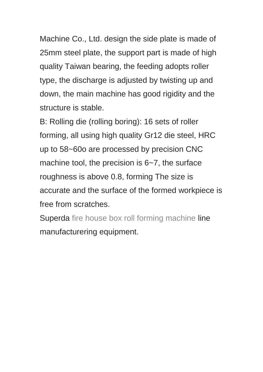Machine Co., Ltd. design the side plate is made of 25mm steel plate, the support part is made of high quality Taiwan bearing, the feeding adopts roller type, the discharge is adjusted by twisting up and down, the main machine has good rigidity and the structure is stable.

B: Rolling die (rolling boring): 16 sets of roller forming, all using high quality Gr12 die steel, HRC up to 58~60o are processed by precision CNC machine tool, the precision is 6~7, the surface roughness is above 0.8, forming The size is accurate and the surface of the formed workpiece is free from scratches.

Superda [fire house box roll forming machine](http://www.superdamc.com/) line manufacturering equipment.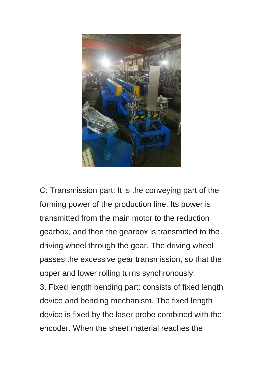

C: Transmission part: It is the conveying part of the forming power of the production line. Its power is transmitted from the main motor to the reduction gearbox, and then the gearbox is transmitted to the driving wheel through the gear. The driving wheel passes the excessive gear transmission, so that the upper and lower rolling turns synchronously.

3. Fixed length bending part: consists of fixed length device and bending mechanism. The fixed length device is fixed by the laser probe combined with the encoder. When the sheet material reaches the